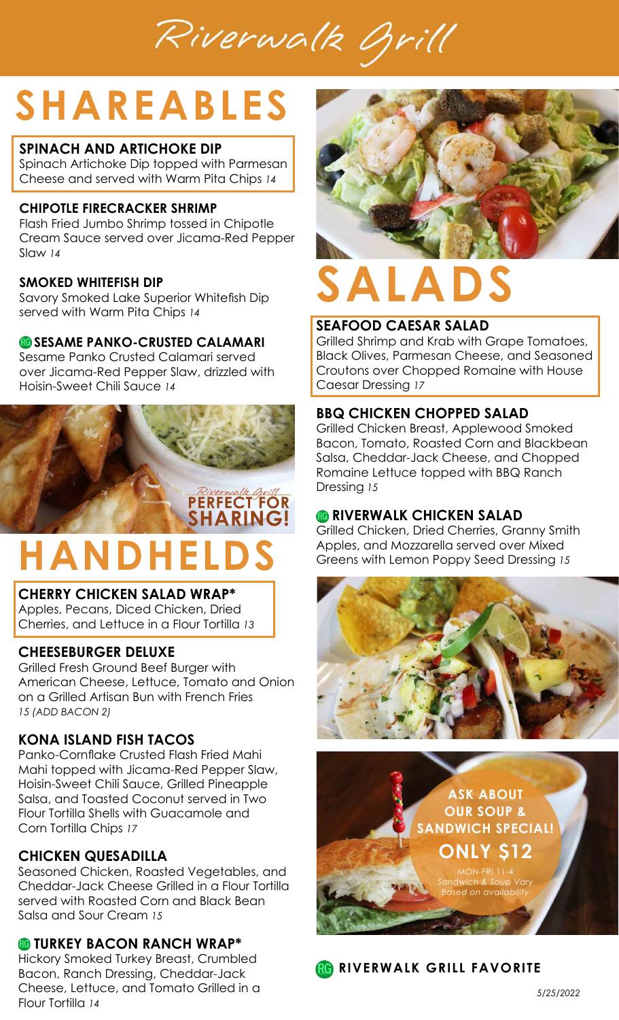Riverwalk Brill

# **SHAREABLES**

#### **SPINACH AND ARTICHOKE DIP**

Spinach Artichoke Dip topped with Parmesan Cheese and served with Warm Pita Chips *14*

#### **CHIPOTLE FIRECRACKER SHRIMP**

Flash Fried Jumbo Shrimp tossed in Chipotle Cream Sauce served over Jicama-Red Pepper Slaw *14*

#### **SMOKED WHITEFISH DIP**

Savory Smoked Lake Superior Whitefish Dip served with Warm Pita Chips *14*

#### **<b>B** SESAME PANKO-CRUSTED CALAMARI

Sesame Panko Crusted Calamari served over Jicama-Red Pepper Slaw, drizzled with Hoisin-Sweet Chili Sauce *14*

# PERFECT FOR **SHARING! HANDHELDS**

#### **CHERRY CHICKEN SALAD WRAP\***

Apples, Pecans, Diced Chicken, Dried Cherries, and Lettuce in a Flour Tortilla *13*

#### **CHEESEBURGER DELUXE**

Grilled Fresh Ground Beef Burger with American Cheese, Lettuce, Tomato and Onion on a Grilled Artisan Bun with French Fries *15 (ADD BACON 2)*

#### **KONA ISLAND FISH TACOS**

Panko-Cornflake Crusted Flash Fried Mahi Mahi topped with Jicama-Red Pepper Slaw, Hoisin-Sweet Chili Sauce, Grilled Pineapple Salsa, and Toasted Coconut served in Two Flour Tortilla Shells with Guacamole and Corn Tortilla Chips *17*

#### **CHICKEN QUESADILLA**

Seasoned Chicken, Roasted Vegetables, and Cheddar-Jack Cheese Grilled in a Flour Tortilla served with Roasted Corn and Black Bean Salsa and Sour Cream *15*

#### **TURKEY BACON RANCH WRAP\***

Hickory Smoked Turkey Breast, Crumbled Bacon, Ranch Dressing, Cheddar-Jack Cheese, Lettuce, and Tomato Grilled in a Flour Tortilla *14*



# **SALADS**

#### **SEAFOOD CAESAR SALAD**

Grilled Shrimp and Krab with Grape Tomatoes, Black Olives, Parmesan Cheese, and Seasoned Croutons over Chopped Romaine with House Caesar Dressing *17*

#### **BBQ CHICKEN CHOPPED SALAD**

Grilled Chicken Breast, Applewood Smoked Bacon, Tomato, Roasted Corn and Blackbean Salsa, Cheddar-Jack Cheese, and Chopped Romaine Lettuce topped with BBQ Ranch Dressing *15*

#### **<b>B** RIVERWALK CHICKEN SALAD

Grilled Chicken, Dried Cherries, Granny Smith Apples, and Mozzarella served over Mixed Greens with Lemon Poppy Seed Dressing *15*





**RG RIVERWALK GRILL FAVORITE**